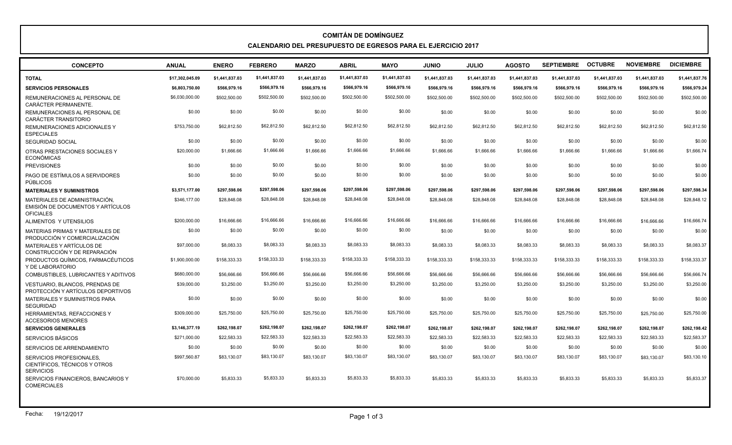## **COMITÁN DE DOMÍNGUEZ CALENDARIO DEL PRESUPUESTO DE EGRESOS PARA EL EJERCICIO 2017**

| <b>CONCEPTO</b>                                                                        | <b>ANUAL</b>    | <b>ENERO</b>   | <b>FEBRERO</b> | <b>MARZO</b>   | <b>ABRIL</b>   | <b>MAYO</b>    | <b>JUNIO</b>   | <b>JULIO</b>   | <b>AGOSTO</b>  | <b>SEPTIEMBRE</b> | <b>OCTUBRE</b> | <b>NOVIEMBRE</b> | <b>DICIEMBRE</b> |
|----------------------------------------------------------------------------------------|-----------------|----------------|----------------|----------------|----------------|----------------|----------------|----------------|----------------|-------------------|----------------|------------------|------------------|
| <b>TOTAL</b>                                                                           | \$17,302,045.09 | \$1.441.837.03 | \$1,441,837.03 | \$1.441.837.03 | \$1,441,837.03 | \$1,441,837.03 | \$1.441.837.03 | \$1.441.837.03 | \$1.441.837.03 | \$1,441,837.03    | \$1,441,837.03 | \$1,441,837.03   | \$1,441,837.76   |
| <b>SERVICIOS PERSONALES</b>                                                            | \$6,803,750.00  | \$566,979.16   | \$566,979.16   | \$566,979.16   | \$566,979.16   | \$566,979.16   | \$566,979.16   | \$566,979.16   | \$566,979.16   | \$566,979.16      | \$566,979.16   | \$566,979.16     | \$566,979.24     |
| REMUNERACIONES AL PERSONAL DE<br>CARÁCTER PERMANENTE.                                  | \$6,030,000.00  | \$502,500.00   | \$502,500.00   | \$502,500.00   | \$502,500.00   | \$502,500.00   | \$502,500.00   | \$502,500.00   | \$502,500.00   | \$502,500.00      | \$502,500.00   | \$502,500.00     | \$502,500.00     |
| REMUNERACIONES AL PERSONAL DE<br><b>CARÁCTER TRANSITORIO</b>                           | \$0.00          | \$0.00         | \$0.00         | \$0.00         | \$0.00         | \$0.00         | \$0.00         | \$0.00         | \$0.00         | \$0.00            | \$0.00         | \$0.00           | \$0.00           |
| REMUNERACIONES ADICIONALES Y<br><b>ESPECIALES</b>                                      | \$753.750.00    | \$62,812.50    | \$62,812.50    | \$62.812.50    | \$62,812.50    | \$62,812.50    | \$62,812.50    | \$62,812.50    | \$62,812.50    | \$62.812.50       | \$62,812.50    | \$62,812.50      | \$62,812.50      |
| <b>SEGURIDAD SOCIAL</b>                                                                | \$0.00          | \$0.00         | \$0.00         | \$0.00         | \$0.00         | \$0.00         | \$0.00         | \$0.00         | \$0.00         | \$0.00            | \$0.00         | \$0.00           | \$0.00           |
| OTRAS PRESTACIONES SOCIALES Y<br><b>ECONÓMICAS</b>                                     | \$20,000.00     | \$1,666.66     | \$1,666.66     | \$1,666.66     | \$1,666.66     | \$1,666.66     | \$1,666.66     | \$1,666.66     | \$1,666.66     | \$1,666.66        | \$1,666.66     | \$1,666.66       | \$1,666.74       |
| <b>PREVISIONES</b>                                                                     | \$0.00          | \$0.00         | \$0.00         | \$0.00         | \$0.00         | \$0.00         | \$0.00         | \$0.00         | \$0.00         | \$0.00            | \$0.00         | \$0.00           | \$0.00           |
| PAGO DE ESTÍMULOS A SERVIDORES<br><b>PÚBLICOS</b>                                      | \$0.00          | \$0.00         | \$0.00         | \$0.00         | \$0.00         | \$0.00         | \$0.00         | \$0.00         | \$0.00         | \$0.00            | \$0.00         | \$0.00           | \$0.00           |
| <b>MATERIALES Y SUMINISTROS</b>                                                        | \$3.571.177.00  | \$297.598.06   | \$297.598.06   | \$297.598.06   | \$297.598.06   | \$297.598.06   | \$297.598.06   | \$297,598.06   | \$297.598.06   | \$297,598.06      | \$297.598.06   | \$297.598.06     | \$297,598.34     |
| MATERIALES DE ADMINISTRACIÓN.<br>EMISIÓN DE DOCUMENTOS Y ARTÍCULOS<br><b>OFICIALES</b> | \$346,177.00    | \$28,848,08    | \$28,848.08    | \$28,848.08    | \$28,848.08    | \$28,848.08    | \$28,848.08    | \$28,848,08    | \$28,848.08    | \$28,848.08       | \$28,848.08    | \$28,848,08      | \$28,848.12      |
| ALIMENTOS Y UTENSILIOS                                                                 | \$200,000,00    | \$16,666,66    | \$16,666.66    | \$16,666.66    | \$16,666.66    | \$16,666,66    | \$16,666,66    | \$16,666,66    | \$16,666.66    | \$16,666.66       | \$16,666,66    | \$16,666,66      | \$16,666,74      |
| MATERIAS PRIMAS Y MATERIALES DE<br>PRODUCCIÓN Y COMERCIALIZACIÓN                       | \$0.00          | \$0.00         | \$0.00         | \$0.00         | \$0.00         | \$0.00         | \$0.00         | \$0.00         | \$0.00         | \$0.00            | \$0.00         | \$0.00           | \$0.00           |
| MATERIALES Y ARTÍCULOS DE<br>CONSTRUCCIÓN Y DE REPARACIÓN                              | \$97,000.00     | \$8,083,33     | \$8,083.33     | \$8.083.33     | \$8,083.33     | \$8,083.33     | \$8,083.33     | \$8,083,33     | \$8,083.33     | \$8.083.33        | \$8,083.33     | \$8,083,33       | \$8,083.37       |
| PRODUCTOS QUÍMICOS, FARMACÉUTICOS<br>Y DE LABORATORIO                                  | \$1,900,000.00  | \$158,333.33   | \$158,333.33   | \$158,333,33   | \$158,333.33   | \$158,333.33   | \$158,333,33   | \$158,333,33   | \$158.333.33   | \$158.333.33      | \$158,333.33   | \$158,333,33     | \$158,333.37     |
| COMBUSTIBLES, LUBRICANTES Y ADITIVOS                                                   | \$680,000.00    | \$56,666.66    | \$56,666,66    | \$56,666.66    | \$56,666,66    | \$56,666.66    | \$56,666.66    | \$56,666.66    | \$56,666.66    | \$56,666.66       | \$56,666.66    | \$56,666.66      | \$56,666.74      |
| <b>VESTUARIO. BLANCOS. PRENDAS DE</b><br>PROTECCIÓN Y ARTÍCULOS DEPORTIVOS             | \$39,000.00     | \$3,250,00     | \$3,250.00     | \$3.250.00     | \$3,250.00     | \$3,250.00     | \$3,250.00     | \$3,250.00     | \$3,250.00     | \$3,250.00        | \$3,250,00     | \$3,250.00       | \$3,250.00       |
| MATERIALES Y SUMINISTROS PARA<br><b>SEGURIDAD</b>                                      | \$0.00          | \$0.00         | \$0.00         | \$0.00         | \$0.00         | \$0.00         | \$0.00         | \$0.00         | \$0.00         | \$0.00            | \$0.00         | \$0.00           | \$0.00           |
| HERRAMIENTAS, REFACCIONES Y<br><b>ACCESORIOS MENORES</b>                               | \$309,000.00    | \$25,750,00    | \$25,750.00    | \$25,750.00    | \$25,750.00    | \$25,750.00    | \$25,750.00    | \$25,750.00    | \$25,750.00    | \$25,750.00       | \$25,750.00    | \$25,750.00      | \$25,750.00      |
| <b>SERVICIOS GENERALES</b>                                                             | \$3,146,377.19  | \$262,198.07   | \$262,198.07   | \$262,198.07   | \$262,198.07   | \$262,198.07   | \$262,198.07   | \$262,198.07   | \$262,198.07   | \$262,198.07      | \$262,198.07   | \$262.198.07     | \$262,198.42     |
| <b>SERVICIOS BÁSICOS</b>                                                               | \$271,000.00    | \$22,583.33    | \$22,583.33    | \$22,583.33    | \$22,583.33    | \$22,583.33    | \$22,583.33    | \$22,583.33    | \$22,583.33    | \$22,583.33       | \$22,583.33    | \$22,583.33      | \$22,583.37      |
| SERVICIOS DE ARRENDAMIENTO                                                             | \$0.00          | \$0.00         | \$0.00         | \$0.00         | \$0.00         | \$0.00         | \$0.00         | \$0.00         | \$0.00         | \$0.00            | \$0.00         | \$0.00           | \$0.00           |
| SERVICIOS PROFESIONALES.<br>CIENTÍFICOS, TÉCNICOS Y OTROS<br><b>SERVICIOS</b>          | \$997,560.87    | \$83,130.07    | \$83,130.07    | \$83.130.07    | \$83,130.07    | \$83,130.07    | \$83,130.07    | \$83,130.07    | \$83,130.07    | \$83,130.07       | \$83,130.07    | \$83,130.07      | \$83,130.10      |
| SERVICIOS FINANCIEROS, BANCARIOS Y<br><b>COMERCIALES</b>                               | \$70,000.00     | \$5.833.33     | \$5,833.33     | \$5.833.33     | \$5,833.33     | \$5,833,33     | \$5.833.33     | \$5.833.33     | \$5.833.33     | \$5.833.33        | \$5,833.33     | \$5.833.33       | \$5,833,37       |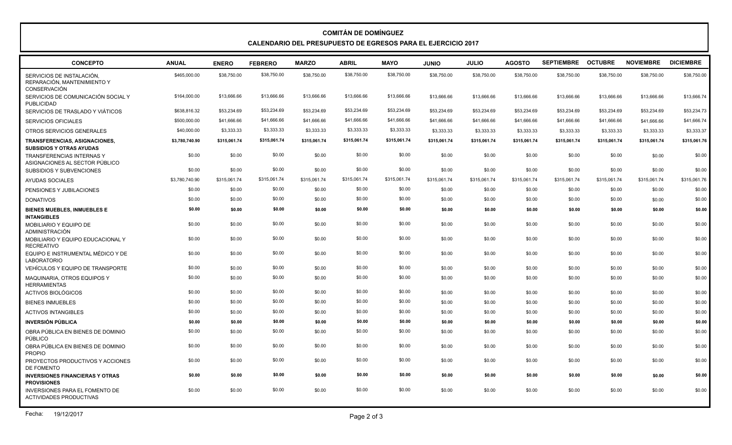## **COMITÁN DE DOMÍNGUEZ CALENDARIO DEL PRESUPUESTO DE EGRESOS PARA EL EJERCICIO 2017**

| <b>CONCEPTO</b>                                                          | <b>ANUAL</b>   | <b>ENERO</b> | <b>FEBRERO</b> | <b>MARZO</b> | <b>ABRIL</b> | <b>MAYO</b>  | <b>JUNIO</b> | <b>JULIO</b> | <b>AGOSTO</b> | <b>SEPTIEMBRE</b> | <b>OCTUBRE</b> | <b>NOVIEMBRE</b> | <b>DICIEMBRE</b> |
|--------------------------------------------------------------------------|----------------|--------------|----------------|--------------|--------------|--------------|--------------|--------------|---------------|-------------------|----------------|------------------|------------------|
| SERVICIOS DE INSTALACIÓN.<br>REPARACIÓN. MANTENIMIENTO Y<br>CONSERVACIÓN | \$465,000.00   | \$38,750.00  | \$38,750.00    | \$38,750.00  | \$38,750.00  | \$38,750.00  | \$38,750.00  | \$38,750.00  | \$38,750.00   | \$38,750.00       | \$38,750.00    | \$38,750.00      | \$38,750.00      |
| SERVICIOS DE COMUNICACIÓN SOCIAL Y<br>PUBLICIDAD                         | \$164,000.00   | \$13,666.66  | \$13,666.66    | \$13,666.66  | \$13,666.66  | \$13,666.66  | \$13,666.66  | \$13,666.66  | \$13,666.66   | \$13,666.66       | \$13,666.66    | \$13,666.66      | \$13,666.74      |
| SERVICIOS DE TRASLADO Y VIÁTICOS                                         | \$638,816.32   | \$53,234.69  | \$53,234.69    | \$53,234.69  | \$53,234.69  | \$53,234.69  | \$53,234.69  | \$53,234.69  | \$53,234.69   | \$53,234.69       | \$53,234.69    | \$53,234.69      | \$53,234.73      |
| SERVICIOS OFICIALES                                                      | \$500,000.00   | \$41,666.66  | \$41,666.66    | \$41,666.66  | \$41,666.66  | \$41,666.66  | \$41,666.66  | \$41,666.66  | \$41,666.66   | \$41,666.66       | \$41,666.66    | \$41,666.66      | \$41,666.74      |
| OTROS SERVICIOS GENERALES                                                | \$40,000.00    | \$3,333.33   | \$3,333.33     | \$3,333.33   | \$3,333.33   | \$3,333.33   | \$3,333.33   | \$3,333.33   | \$3,333.33    | \$3,333.33        | \$3,333.33     | \$3,333.33       | \$3,333.37       |
| TRANSFERENCIAS, ASIGNACIONES,<br><b>SUBSIDIOS Y OTRAS AYUDAS</b>         | \$3,780,740.90 | \$315,061.74 | \$315,061.74   | \$315,061.74 | \$315,061.74 | \$315,061.74 | \$315,061.74 | \$315,061.74 | \$315,061.74  | \$315,061.74      | \$315,061.74   | \$315,061.74     | \$315,061.76     |
| <b>TRANSFERENCIAS INTERNAS Y</b><br>ASIGNACIONES AL SECTOR PÚBLICO       | \$0.00         | \$0.00       | \$0.00         | \$0.00       | \$0.00       | \$0.00       | \$0.00       | \$0.00       | \$0.00        | \$0.00            | \$0.00         | \$0.00           | \$0.00           |
| SUBSIDIOS Y SUBVENCIONES                                                 | \$0.00         | \$0.00       | \$0.00         | \$0.00       | \$0.00       | \$0.00       | \$0.00       | \$0.00       | \$0.00        | \$0.00            | \$0.00         | \$0.00           | \$0.00           |
| <b>AYUDAS SOCIALES</b>                                                   | \$3,780,740.90 | \$315,061.74 | \$315,061.74   | \$315,061.74 | \$315,061.74 | \$315,061.74 | \$315,061.74 | \$315,061.74 | \$315,061.74  | \$315,061.74      | \$315,061.74   | \$315,061.74     | \$315,061.76     |
| PENSIONES Y JUBILACIONES                                                 | \$0.00         | \$0.00       | \$0.00         | \$0.00       | \$0.00       | \$0.00       | \$0.00       | \$0.00       | \$0.00        | \$0.00            | \$0.00         | \$0.00           | \$0.00           |
| <b>DONATIVOS</b>                                                         | \$0.00         | \$0.00       | \$0.00         | \$0.00       | \$0.00       | \$0.00       | \$0.00       | \$0.00       | \$0.00        | \$0.00            | \$0.00         | \$0.00           | \$0.00           |
| <b>BIENES MUEBLES, INMUEBLES E</b><br><b>INTANGIBLES</b>                 | \$0.00         | \$0.00       | \$0.00         | \$0.00       | \$0.00       | \$0.00       | \$0.00       | \$0.00       | \$0.00        | \$0.00            | \$0.00         | \$0.00           | \$0.00           |
| MOBILIARIO Y EQUIPO DE<br>ADMINISTRACIÓN                                 | \$0.00         | \$0.00       | \$0.00         | \$0.00       | \$0.00       | \$0.00       | \$0.00       | \$0.00       | \$0.00        | \$0.00            | \$0.00         | \$0.00           | \$0.00           |
| MOBILIARIO Y EQUIPO EDUCACIONAL Y<br><b>RECREATIVO</b>                   | \$0.00         | \$0.00       | \$0.00         | \$0.00       | \$0.00       | \$0.00       | \$0.00       | \$0.00       | \$0.00        | \$0.00            | \$0.00         | \$0.00           | \$0.00           |
| EQUIPO E INSTRUMENTAL MÉDICO Y DE<br><b>LABORATORIO</b>                  | \$0.00         | \$0.00       | \$0.00         | \$0.00       | \$0.00       | \$0.00       | \$0.00       | \$0.00       | \$0.00        | \$0.00            | \$0.00         | \$0.00           | \$0.00           |
| VEHÍCULOS Y EQUIPO DE TRANSPORTE                                         | \$0.00         | \$0.00       | \$0.00         | \$0.00       | \$0.00       | \$0.00       | \$0.00       | \$0.00       | \$0.00        | \$0.00            | \$0.00         | \$0.00           | \$0.00           |
| MAQUINARIA, OTROS EQUIPOS Y<br><b>HERRAMIENTAS</b>                       | \$0.00         | \$0.00       | \$0.00         | \$0.00       | \$0.00       | \$0.00       | \$0.00       | \$0.00       | \$0.00        | \$0.00            | \$0.00         | \$0.00           | \$0.00           |
| <b>ACTIVOS BIOLÓGICOS</b>                                                | \$0.00         | \$0.00       | \$0.00         | \$0.00       | \$0.00       | \$0.00       | \$0.00       | \$0.00       | \$0.00        | \$0.00            | \$0.00         | \$0.00           | \$0.00           |
| <b>BIENES INMUEBLES</b>                                                  | \$0.00         | \$0.00       | \$0.00         | \$0.00       | \$0.00       | \$0.00       | \$0.00       | \$0.00       | \$0.00        | \$0.00            | \$0.00         | \$0.00           | \$0.00           |
| <b>ACTIVOS INTANGIBLES</b>                                               | \$0.00         | \$0.00       | \$0.00         | \$0.00       | \$0.00       | \$0.00       | \$0.00       | \$0.00       | \$0.00        | \$0.00            | \$0.00         | \$0.00           | \$0.00           |
| <b>INVERSIÓN PÚBLICA</b>                                                 | \$0.00         | \$0.00       | \$0.00         | \$0.00       | \$0.00       | \$0.00       | \$0.00       | \$0.00       | \$0.00        | \$0.00            | \$0.00         | \$0.00           | \$0.00           |
| OBRA PÚBLICA EN BIENES DE DOMINIO<br>PÚBLICO                             | \$0.00         | \$0.00       | \$0.00         | \$0.00       | \$0.00       | \$0.00       | \$0.00       | \$0.00       | \$0.00        | \$0.00            | \$0.00         | \$0.00           | \$0.00           |
| OBRA PÚBLICA EN BIENES DE DOMINIO<br><b>PROPIO</b>                       | \$0.00         | \$0.00       | \$0.00         | \$0.00       | \$0.00       | \$0.00       | \$0.00       | \$0.00       | \$0.00        | \$0.00            | \$0.00         | \$0.00           | \$0.00           |
| PROYECTOS PRODUCTIVOS Y ACCIONES<br>DE FOMENTO                           | \$0.00         | \$0.00       | \$0.00         | \$0.00       | \$0.00       | \$0.00       | \$0.00       | \$0.00       | \$0.00        | \$0.00            | \$0.00         | \$0.00           | \$0.00           |
| <b>INVERSIONES FINANCIERAS Y OTRAS</b><br><b>PROVISIONES</b>             | \$0.00         | \$0.00       | \$0.00         | \$0.00       | \$0.00       | \$0.00       | \$0.00       | \$0.00       | \$0.00        | \$0.00            | \$0.00         | \$0.00           | \$0.00           |
| <b>INVERSIONES PARA EL FOMENTO DE</b><br><b>ACTIVIDADES PRODUCTIVAS</b>  | \$0.00         | \$0.00       | \$0.00         | \$0.00       | \$0.00       | \$0.00       | \$0.00       | \$0.00       | \$0.00        | \$0.00            | \$0.00         | \$0.00           | \$0.00           |